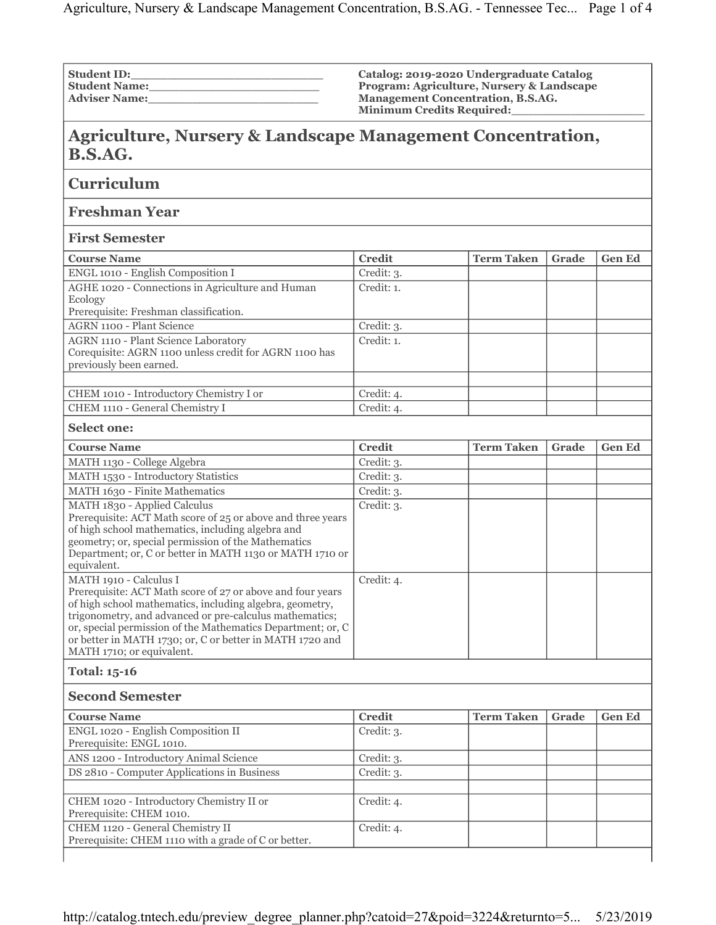| <b>Student ID:</b>   |  |
|----------------------|--|
| <b>Student Name:</b> |  |
| <b>Adviser Name:</b> |  |

**Catalog: 2019-2020 Undergraduate Catalog Program: Agriculture, Nursery & Landscape Management Concentration, B.S.AG. Minimum Credits Required:\_\_\_\_\_\_\_\_\_\_\_\_\_\_\_\_\_\_**

## **Agriculture, Nursery & Landscape Management Concentration, B.S.AG.**

**Curriculum**

**Freshman Year**

**First Semester**

| <b>Course Name</b>                                                                                                        | <b>Credit</b> | <b>Term Taken</b> | Grade | <b>Gen Ed</b> |
|---------------------------------------------------------------------------------------------------------------------------|---------------|-------------------|-------|---------------|
| ENGL 1010 - English Composition I                                                                                         | Credit: 3.    |                   |       |               |
| AGHE 1020 - Connections in Agriculture and Human<br>Ecology<br>Prerequisite: Freshman classification.                     | Credit: 1.    |                   |       |               |
| <b>AGRN 1100 - Plant Science</b>                                                                                          | Credit: 3.    |                   |       |               |
| AGRN 1110 - Plant Science Laboratory<br>Corequisite: AGRN 1100 unless credit for AGRN 1100 has<br>previously been earned. | Credit: 1.    |                   |       |               |
|                                                                                                                           |               |                   |       |               |
| CHEM 1010 - Introductory Chemistry I or                                                                                   | Credit: 4.    |                   |       |               |
| CHEM 1110 - General Chemistry I                                                                                           | Credit: 4.    |                   |       |               |

## **Select one:**

| <b>Course Name</b>                                                                                                                                                                                                                                                                                                                                                  | <b>Credit</b>    | <b>Term Taken</b> | Grade                             | <b>Gen Ed</b>             |  |
|---------------------------------------------------------------------------------------------------------------------------------------------------------------------------------------------------------------------------------------------------------------------------------------------------------------------------------------------------------------------|------------------|-------------------|-----------------------------------|---------------------------|--|
| MATH 1130 - College Algebra                                                                                                                                                                                                                                                                                                                                         | Credit: 3.       |                   |                                   |                           |  |
| MATH 1530 - Introductory Statistics                                                                                                                                                                                                                                                                                                                                 | Credit: 3.       |                   |                                   |                           |  |
| MATH 1630 - Finite Mathematics                                                                                                                                                                                                                                                                                                                                      | Credit: 3.       |                   |                                   |                           |  |
| MATH 1830 - Applied Calculus<br>Prerequisite: ACT Math score of 25 or above and three years<br>of high school mathematics, including algebra and<br>geometry; or, special permission of the Mathematics<br>Department; or, C or better in MATH 1130 or MATH 1710 or<br>equivalent.                                                                                  | Credit: 3.       |                   |                                   |                           |  |
| MATH 1910 - Calculus I<br>Prerequisite: ACT Math score of 27 or above and four years<br>of high school mathematics, including algebra, geometry,<br>trigonometry, and advanced or pre-calculus mathematics;<br>or, special permission of the Mathematics Department; or, C<br>or better in MATH 1730; or, C or better in MATH 1720 and<br>MATH 1710; or equivalent. | Credit: 4.       |                   |                                   |                           |  |
| <b>Total: 15-16</b>                                                                                                                                                                                                                                                                                                                                                 |                  |                   |                                   |                           |  |
| <b>Second Semester</b>                                                                                                                                                                                                                                                                                                                                              |                  |                   |                                   |                           |  |
| Course Name                                                                                                                                                                                                                                                                                                                                                         | $C_{\text{mod}}$ | Town Tolzon       | $C_{\mathbf{u}\alpha}$ d $\alpha$ | $C_{\alpha n} E_{\alpha}$ |  |

| <b>Course Name</b>                                                                       | <b>Credit</b> | <b>Term Taken</b> | Grade | <b>Gen Ed</b> |
|------------------------------------------------------------------------------------------|---------------|-------------------|-------|---------------|
| ENGL 1020 - English Composition II<br>Prerequisite: ENGL 1010.                           | Credit: 3.    |                   |       |               |
| ANS 1200 - Introductory Animal Science                                                   | Credit: 3.    |                   |       |               |
| DS 2810 - Computer Applications in Business                                              | Credit: 3.    |                   |       |               |
|                                                                                          |               |                   |       |               |
| CHEM 1020 - Introductory Chemistry II or<br>Prerequisite: CHEM 1010.                     | Credit: 4.    |                   |       |               |
| CHEM 1120 - General Chemistry II<br>Prerequisite: CHEM 1110 with a grade of C or better. | Credit: 4.    |                   |       |               |
|                                                                                          |               |                   |       |               |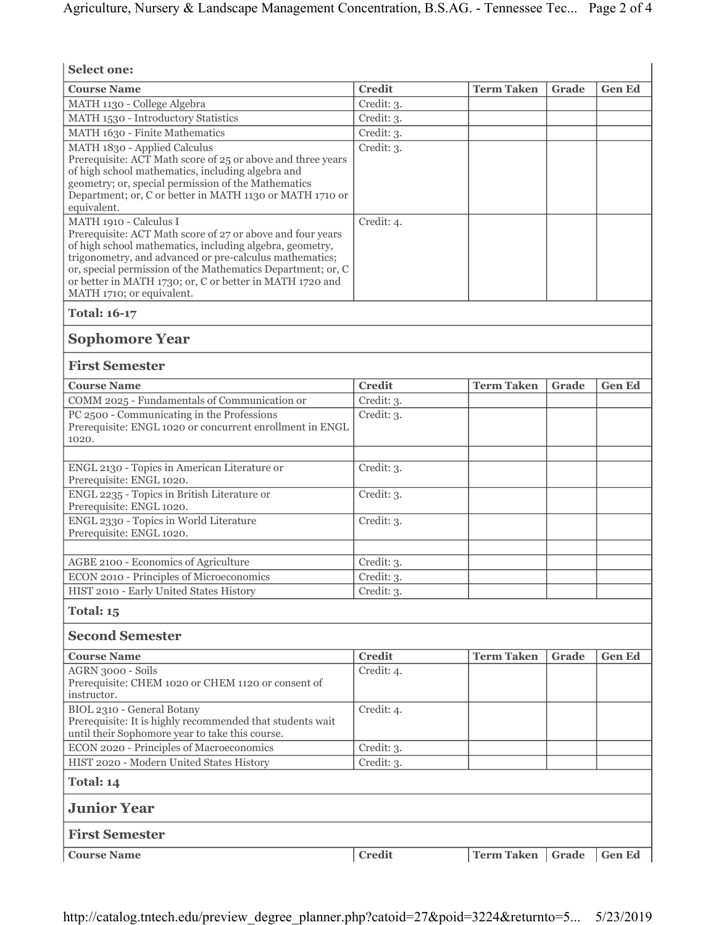| <b>Select one:</b>                                                                                                                                                                                                                                                                                                                                                  |               |                    |       |               |  |
|---------------------------------------------------------------------------------------------------------------------------------------------------------------------------------------------------------------------------------------------------------------------------------------------------------------------------------------------------------------------|---------------|--------------------|-------|---------------|--|
| <b>Course Name</b>                                                                                                                                                                                                                                                                                                                                                  | <b>Credit</b> | <b>Term Taken</b>  | Grade | <b>Gen Ed</b> |  |
| MATH 1130 - College Algebra                                                                                                                                                                                                                                                                                                                                         | Credit: 3.    |                    |       |               |  |
| MATH 1530 - Introductory Statistics                                                                                                                                                                                                                                                                                                                                 | Credit: 3.    |                    |       |               |  |
| MATH 1630 - Finite Mathematics                                                                                                                                                                                                                                                                                                                                      | Credit: 3.    |                    |       |               |  |
| MATH 1830 - Applied Calculus<br>Prerequisite: ACT Math score of 25 or above and three years<br>of high school mathematics, including algebra and<br>geometry; or, special permission of the Mathematics<br>Department; or, C or better in MATH 1130 or MATH 1710 or<br>equivalent.                                                                                  | Credit: 3.    |                    |       |               |  |
| MATH 1910 - Calculus I<br>Prerequisite: ACT Math score of 27 or above and four years<br>of high school mathematics, including algebra, geometry,<br>trigonometry, and advanced or pre-calculus mathematics;<br>or, special permission of the Mathematics Department; or, C<br>or better in MATH 1730; or, C or better in MATH 1720 and<br>MATH 1710; or equivalent. | Credit: 4.    |                    |       |               |  |
| <b>Total: 16-17</b>                                                                                                                                                                                                                                                                                                                                                 |               |                    |       |               |  |
| <b>Sophomore Year</b>                                                                                                                                                                                                                                                                                                                                               |               |                    |       |               |  |
| <b>First Semester</b>                                                                                                                                                                                                                                                                                                                                               |               |                    |       |               |  |
| <b>Course Name</b>                                                                                                                                                                                                                                                                                                                                                  | <b>Credit</b> | <b>Term Taken</b>  | Grade | <b>Gen Ed</b> |  |
| COMM 2025 - Fundamentals of Communication or                                                                                                                                                                                                                                                                                                                        | Credit: 3.    |                    |       |               |  |
| PC 2500 - Communicating in the Professions<br>Prerequisite: ENGL 1020 or concurrent enrollment in ENGL<br>1020.                                                                                                                                                                                                                                                     | Credit: 3.    |                    |       |               |  |
| ENGL 2130 - Topics in American Literature or                                                                                                                                                                                                                                                                                                                        | Credit: 3.    |                    |       |               |  |
| Prerequisite: ENGL 1020.<br>ENGL 2235 - Topics in British Literature or                                                                                                                                                                                                                                                                                             | Credit: 3.    |                    |       |               |  |
| Prerequisite: ENGL 1020.                                                                                                                                                                                                                                                                                                                                            |               |                    |       |               |  |
| ENGL 2330 - Topics in World Literature<br>Prerequisite: ENGL 1020.                                                                                                                                                                                                                                                                                                  | Credit: 3.    |                    |       |               |  |
| AGBE 2100 - Economics of Agriculture                                                                                                                                                                                                                                                                                                                                | Credit: 3.    |                    |       |               |  |
| ECON 2010 - Principles of Microeconomics                                                                                                                                                                                                                                                                                                                            | Credit: 3.    |                    |       |               |  |
| HIST 2010 - Early United States History                                                                                                                                                                                                                                                                                                                             | Credit: 3.    |                    |       |               |  |
| Total: 15                                                                                                                                                                                                                                                                                                                                                           |               |                    |       |               |  |
| <b>Second Semester</b>                                                                                                                                                                                                                                                                                                                                              |               |                    |       |               |  |
| <b>Course Name</b>                                                                                                                                                                                                                                                                                                                                                  | <b>Credit</b> | <b>Term Taken</b>  | Grade | <b>Gen Ed</b> |  |
| <b>AGRN 3000 - Soils</b><br>Prerequisite: CHEM 1020 or CHEM 1120 or consent of<br>instructor.                                                                                                                                                                                                                                                                       | Credit: 4.    |                    |       |               |  |
| BIOL 2310 - General Botany<br>Prerequisite: It is highly recommended that students wait<br>until their Sophomore year to take this course.                                                                                                                                                                                                                          | Credit: 4.    |                    |       |               |  |
| ECON 2020 - Principles of Macroeconomics                                                                                                                                                                                                                                                                                                                            | Credit: 3.    |                    |       |               |  |
| HIST 2020 - Modern United States History                                                                                                                                                                                                                                                                                                                            | Credit: 3.    |                    |       |               |  |
| Total: 14                                                                                                                                                                                                                                                                                                                                                           |               |                    |       |               |  |
| <b>Junior Year</b>                                                                                                                                                                                                                                                                                                                                                  |               |                    |       |               |  |
| <b>First Semester</b>                                                                                                                                                                                                                                                                                                                                               |               |                    |       |               |  |
| <b>Course Name</b>                                                                                                                                                                                                                                                                                                                                                  | <b>Credit</b> | Term Taken   Grade |       | <b>Gen Ed</b> |  |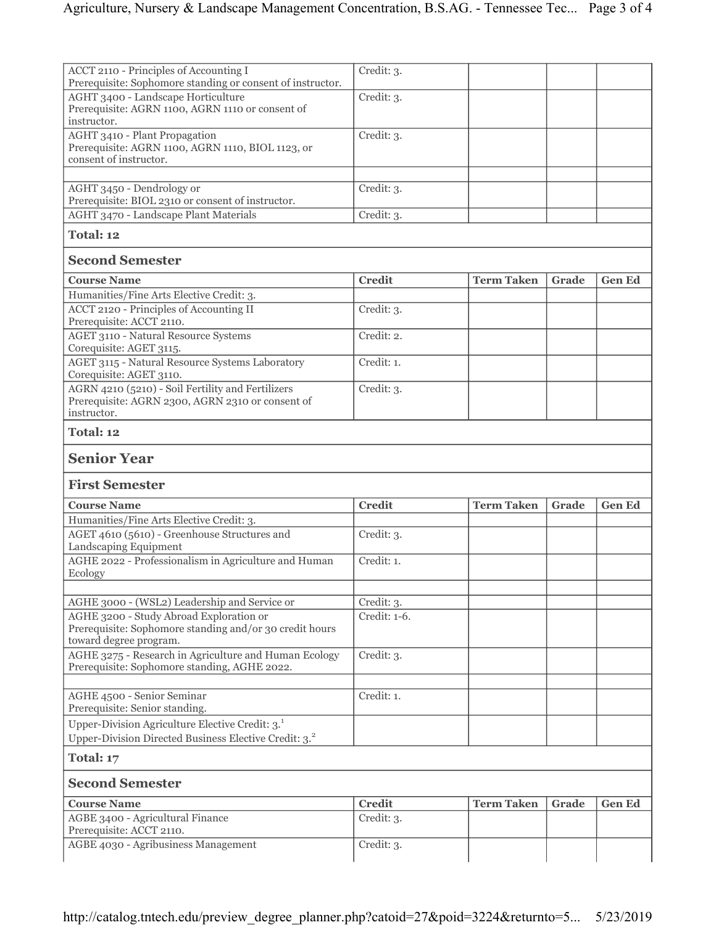| ACCT 2110 - Principles of Accounting I<br>Prerequisite: Sophomore standing or consent of instructor.                            | Credit: 3.    |                   |       |               |
|---------------------------------------------------------------------------------------------------------------------------------|---------------|-------------------|-------|---------------|
| AGHT 3400 - Landscape Horticulture<br>Prerequisite: AGRN 1100, AGRN 1110 or consent of                                          | Credit: 3.    |                   |       |               |
| instructor.                                                                                                                     |               |                   |       |               |
| AGHT 3410 - Plant Propagation<br>Prerequisite: AGRN 1100, AGRN 1110, BIOL 1123, or<br>consent of instructor.                    | Credit: 3.    |                   |       |               |
|                                                                                                                                 |               |                   |       |               |
| AGHT 3450 - Dendrology or<br>Prerequisite: BIOL 2310 or consent of instructor.                                                  | Credit: 3.    |                   |       |               |
| <b>AGHT 3470 - Landscape Plant Materials</b>                                                                                    | Credit: 3.    |                   |       |               |
| Total: 12                                                                                                                       |               |                   |       |               |
| <b>Second Semester</b>                                                                                                          |               |                   |       |               |
| <b>Course Name</b>                                                                                                              | <b>Credit</b> | <b>Term Taken</b> | Grade | <b>Gen Ed</b> |
| Humanities/Fine Arts Elective Credit: 3.                                                                                        |               |                   |       |               |
| <b>ACCT 2120 - Principles of Accounting II</b><br>Prerequisite: ACCT 2110.                                                      | Credit: 3.    |                   |       |               |
| <b>AGET 3110 - Natural Resource Systems</b><br>Corequisite: AGET 3115.                                                          | Credit: 2.    |                   |       |               |
| AGET 3115 - Natural Resource Systems Laboratory<br>Corequisite: AGET 3110.                                                      | Credit: 1.    |                   |       |               |
| AGRN 4210 (5210) - Soil Fertility and Fertilizers<br>Prerequisite: AGRN 2300, AGRN 2310 or consent of<br>instructor.            | Credit: 3.    |                   |       |               |
| Total: 12                                                                                                                       |               |                   |       |               |
|                                                                                                                                 |               |                   |       |               |
| <b>Senior Year</b>                                                                                                              |               |                   |       |               |
| <b>First Semester</b>                                                                                                           |               |                   |       |               |
| <b>Course Name</b>                                                                                                              | <b>Credit</b> | <b>Term Taken</b> | Grade | <b>Gen Ed</b> |
| Humanities/Fine Arts Elective Credit: 3.                                                                                        |               |                   |       |               |
| AGET 4610 (5610) - Greenhouse Structures and<br>Landscaping Equipment                                                           | Credit: 3.    |                   |       |               |
| AGHE 2022 - Professionalism in Agriculture and Human<br>Ecology                                                                 | Credit: 1.    |                   |       |               |
|                                                                                                                                 |               |                   |       |               |
| AGHE 3000 - (WSL2) Leadership and Service or                                                                                    | Credit: 3.    |                   |       |               |
| AGHE 3200 - Study Abroad Exploration or<br>Prerequisite: Sophomore standing and/or 30 credit hours                              | Credit: 1-6.  |                   |       |               |
| toward degree program.<br>AGHE 3275 - Research in Agriculture and Human Ecology<br>Prerequisite: Sophomore standing, AGHE 2022. | Credit: 3.    |                   |       |               |
|                                                                                                                                 |               |                   |       |               |
| AGHE 4500 - Senior Seminar<br>Prerequisite: Senior standing.                                                                    | Credit: 1.    |                   |       |               |
| Upper-Division Agriculture Elective Credit: 3.<br>Upper-Division Directed Business Elective Credit: 3. <sup>2</sup>             |               |                   |       |               |
| Total: 17                                                                                                                       |               |                   |       |               |
| <b>Second Semester</b>                                                                                                          |               |                   |       |               |
| <b>Course Name</b>                                                                                                              | <b>Credit</b> | <b>Term Taken</b> | Grade | <b>Gen Ed</b> |
| <b>AGBE 3400 - Agricultural Finance</b><br>Prerequisite: ACCT 2110.                                                             | Credit: 3.    |                   |       |               |